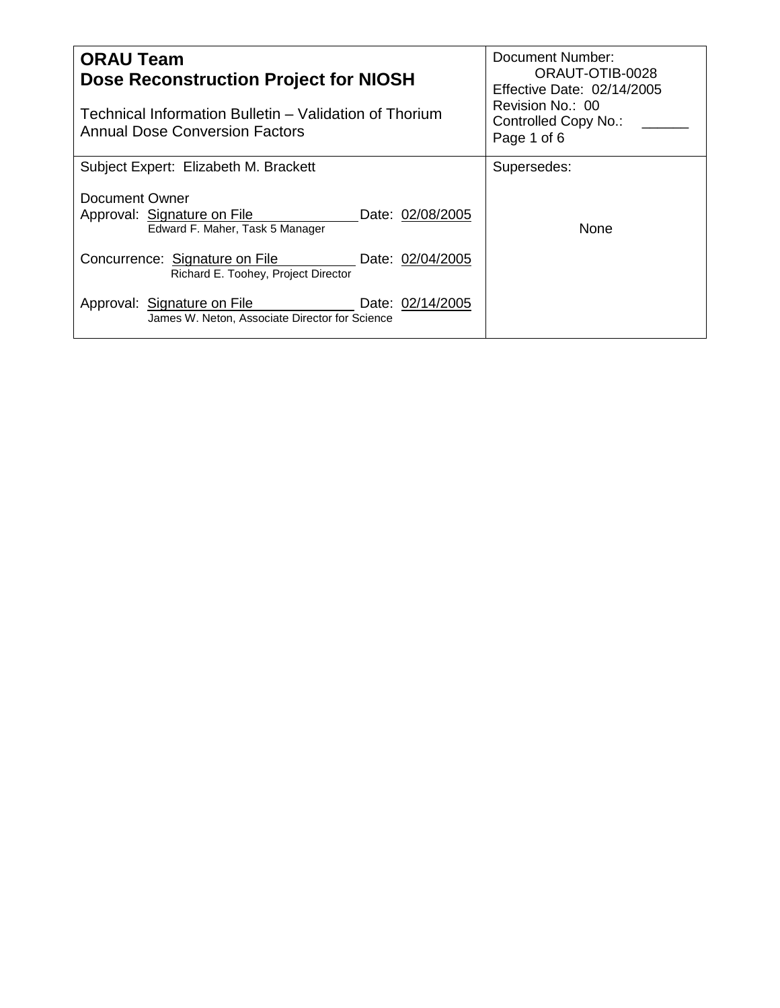| <b>ORAU Team</b><br><b>Dose Reconstruction Project for NIOSH</b><br>Technical Information Bulletin – Validation of Thorium | Document Number:<br>ORAUT-OTIB-0028<br>Effective Date: 02/14/2005<br>Revision No.: 00<br>Controlled Copy No.: |  |
|----------------------------------------------------------------------------------------------------------------------------|---------------------------------------------------------------------------------------------------------------|--|
| <b>Annual Dose Conversion Factors</b>                                                                                      | Page 1 of 6                                                                                                   |  |
| Subject Expert: Elizabeth M. Brackett                                                                                      | Supersedes:                                                                                                   |  |
| Document Owner<br>Approval: Signature on File<br>Date: 02/08/2005<br>Edward F. Maher, Task 5 Manager                       | <b>None</b>                                                                                                   |  |
| Concurrence: Signature on File<br>Date: 02/04/2005<br>Richard E. Toohey, Project Director                                  |                                                                                                               |  |
| Approval: Signature on File<br>Date: 02/14/2005<br>James W. Neton, Associate Director for Science                          |                                                                                                               |  |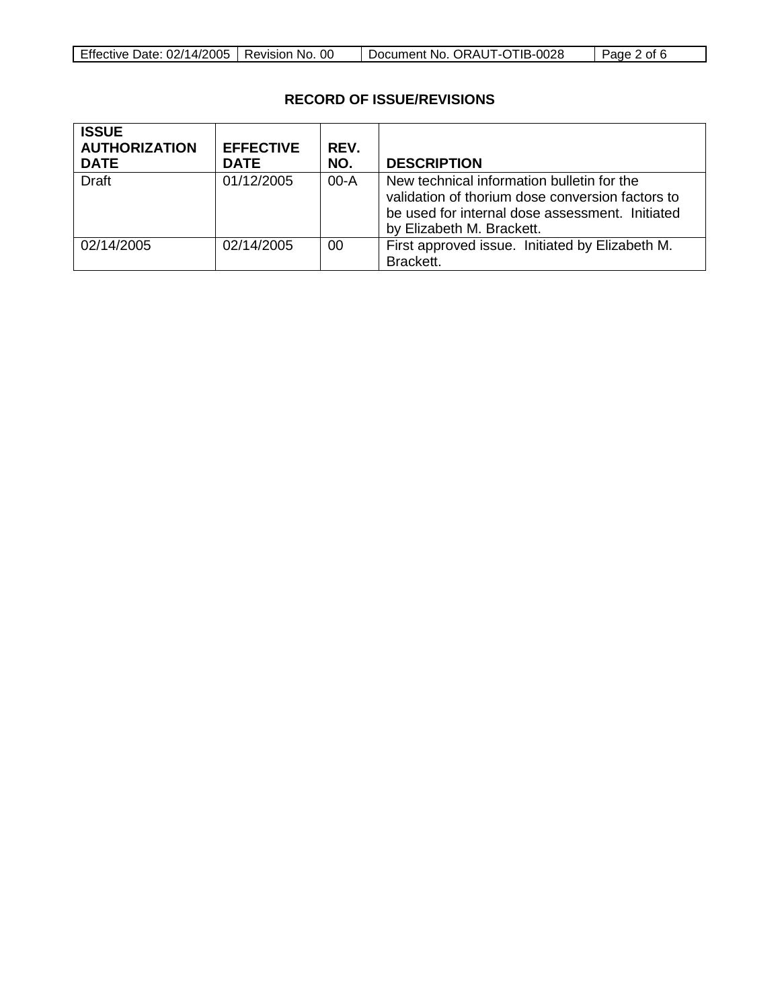| Effective Date: 02/14/2005   Revision No. 00<br>Document No. ORAUT-OTIB-0028<br>$\vert$ Page 2 of 6 |
|-----------------------------------------------------------------------------------------------------|
|-----------------------------------------------------------------------------------------------------|

# **RECORD OF ISSUE/REVISIONS**

| <b>ISSUE</b><br><b>AUTHORIZATION</b><br><b>DATE</b> | <b>EFFECTIVE</b><br><b>DATE</b> | REV.<br>NO. | <b>DESCRIPTION</b>                                                                                                                                                             |
|-----------------------------------------------------|---------------------------------|-------------|--------------------------------------------------------------------------------------------------------------------------------------------------------------------------------|
| <b>Draft</b>                                        | 01/12/2005                      | $00-A$      | New technical information bulletin for the<br>validation of thorium dose conversion factors to<br>be used for internal dose assessment. Initiated<br>by Elizabeth M. Brackett. |
| 02/14/2005                                          | 02/14/2005                      | 00          | First approved issue. Initiated by Elizabeth M.<br>Brackett.                                                                                                                   |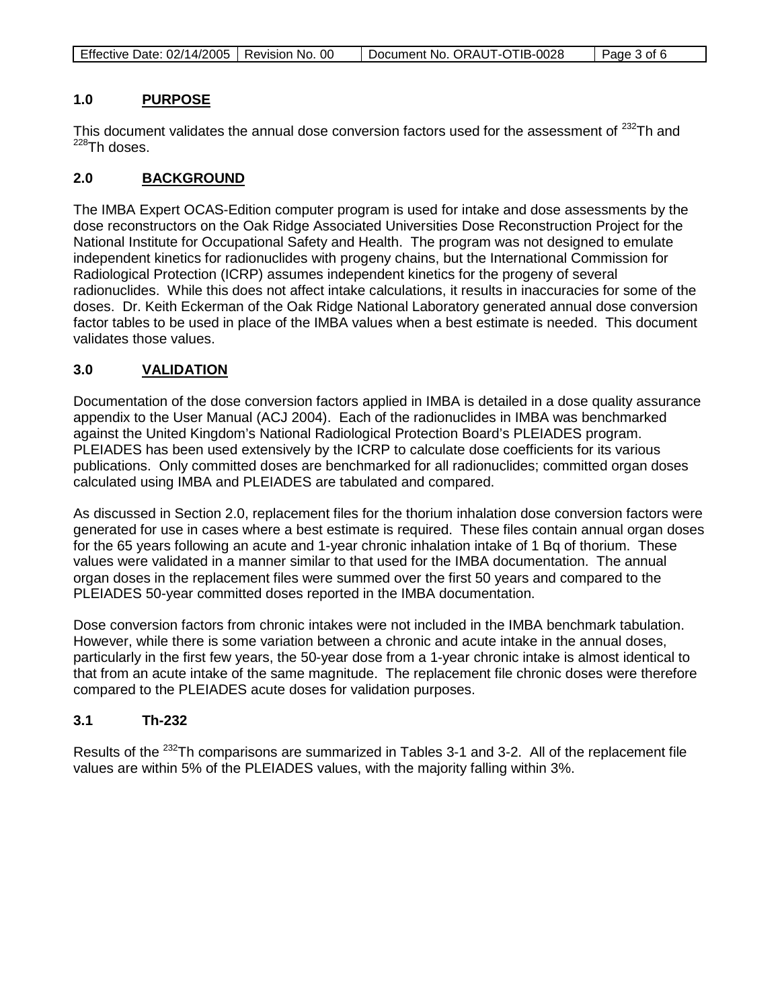| Effective Date: 02/14/2005   Revision No. 00 |  | Document No. ORAUT-OTIB-0028 | Page 3 of 6 |
|----------------------------------------------|--|------------------------------|-------------|
|----------------------------------------------|--|------------------------------|-------------|

#### **1.0 PURPOSE**

This document validates the annual dose conversion factors used for the assessment of <sup>232</sup>Th and  $228$ Th doses.

#### **2.0 BACKGROUND**

The IMBA Expert OCAS-Edition computer program is used for intake and dose assessments by the dose reconstructors on the Oak Ridge Associated Universities Dose Reconstruction Project for the National Institute for Occupational Safety and Health. The program was not designed to emulate independent kinetics for radionuclides with progeny chains, but the International Commission for Radiological Protection (ICRP) assumes independent kinetics for the progeny of several radionuclides. While this does not affect intake calculations, it results in inaccuracies for some of the doses. Dr. Keith Eckerman of the Oak Ridge National Laboratory generated annual dose conversion factor tables to be used in place of the IMBA values when a best estimate is needed. This document validates those values.

#### **3.0 VALIDATION**

Documentation of the dose conversion factors applied in IMBA is detailed in a dose quality assurance appendix to the User Manual (ACJ 2004). Each of the radionuclides in IMBA was benchmarked against the United Kingdom's National Radiological Protection Board's PLEIADES program. PLEIADES has been used extensively by the ICRP to calculate dose coefficients for its various publications. Only committed doses are benchmarked for all radionuclides; committed organ doses calculated using IMBA and PLEIADES are tabulated and compared.

As discussed in Section 2.0, replacement files for the thorium inhalation dose conversion factors were generated for use in cases where a best estimate is required. These files contain annual organ doses for the 65 years following an acute and 1-year chronic inhalation intake of 1 Bq of thorium. These values were validated in a manner similar to that used for the IMBA documentation. The annual organ doses in the replacement files were summed over the first 50 years and compared to the PLEIADES 50-year committed doses reported in the IMBA documentation.

Dose conversion factors from chronic intakes were not included in the IMBA benchmark tabulation. However, while there is some variation between a chronic and acute intake in the annual doses, particularly in the first few years, the 50-year dose from a 1-year chronic intake is almost identical to that from an acute intake of the same magnitude. The replacement file chronic doses were therefore compared to the PLEIADES acute doses for validation purposes.

### **3.1 Th-232**

Results of the <sup>232</sup>Th comparisons are summarized in Tables 3-1 and 3-2. All of the replacement file values are within 5% of the PLEIADES values, with the majority falling within 3%.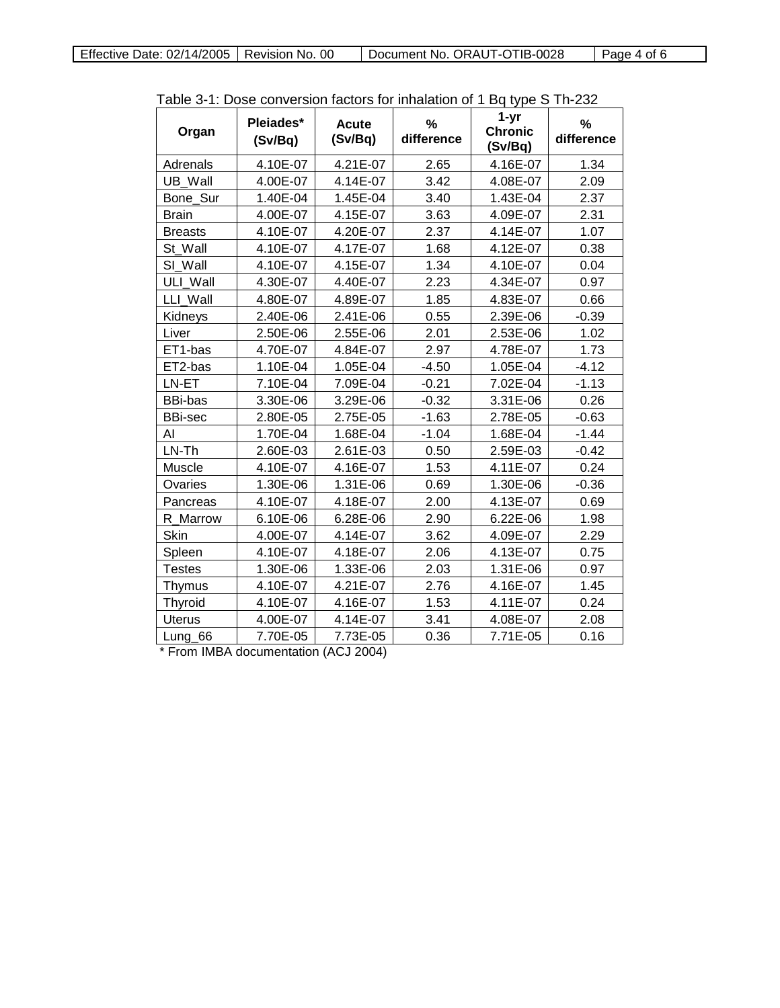| Organ          | Pleiades*<br>(Sv/Bq) | <b>Acute</b><br>(Sv/Bq) | %<br>difference | 1-yr<br><b>Chronic</b><br>(Sv/Bq) | $\%$<br>difference |
|----------------|----------------------|-------------------------|-----------------|-----------------------------------|--------------------|
| Adrenals       | 4.10E-07             | 4.21E-07                | 2.65            | 4.16E-07                          | 1.34               |
| UB Wall        | 4.00E-07             | 4.14E-07                | 3.42            | 4.08E-07                          | 2.09               |
| Bone_Sur       | 1.40E-04             | 1.45E-04                | 3.40            | 1.43E-04                          | 2.37               |
| <b>Brain</b>   | 4.00E-07             | 4.15E-07                | 3.63            | 4.09E-07                          | 2.31               |
| <b>Breasts</b> | 4.10E-07             | 4.20E-07                | 2.37            | 4.14E-07                          | 1.07               |
| St Wall        | 4.10E-07             | 4.17E-07                | 1.68            | 4.12E-07                          | 0.38               |
| SI Wall        | 4.10E-07             | 4.15E-07                | 1.34            | 4.10E-07                          | 0.04               |
| ULI Wall       | 4.30E-07             | 4.40E-07                | 2.23            | 4.34E-07                          | 0.97               |
| LLI Wall       | 4.80E-07             | 4.89E-07                | 1.85            | 4.83E-07                          | 0.66               |
| Kidneys        | 2.40E-06             | 2.41E-06                | 0.55            | 2.39E-06                          | $-0.39$            |
| Liver          | 2.50E-06             | 2.55E-06                | 2.01            | 2.53E-06                          | 1.02               |
| ET1-bas        | 4.70E-07             | 4.84E-07                | 2.97            | 4.78E-07                          | 1.73               |
| ET2-bas        | 1.10E-04             | 1.05E-04                | $-4.50$         | 1.05E-04                          | $-4.12$            |
| LN-ET          | 7.10E-04             | 7.09E-04                | $-0.21$         | 7.02E-04                          | $-1.13$            |
| BBi-bas        | 3.30E-06             | 3.29E-06                | $-0.32$         | 3.31E-06                          | 0.26               |
| <b>BBi-sec</b> | 2.80E-05             | 2.75E-05                | $-1.63$         | 2.78E-05                          | $-0.63$            |
| Al             | 1.70E-04             | 1.68E-04                | $-1.04$         | 1.68E-04                          | $-1.44$            |
| LN-Th          | 2.60E-03             | 2.61E-03                | 0.50            | 2.59E-03                          | $-0.42$            |
| Muscle         | 4.10E-07             | 4.16E-07                | 1.53            | 4.11E-07                          | 0.24               |
| Ovaries        | 1.30E-06             | 1.31E-06                | 0.69            | 1.30E-06                          | $-0.36$            |
| Pancreas       | 4.10E-07             | 4.18E-07                | 2.00            | 4.13E-07                          | 0.69               |
| R Marrow       | 6.10E-06             | 6.28E-06                | 2.90            | 6.22E-06                          | 1.98               |
| Skin           | 4.00E-07             | 4.14E-07                | 3.62            | 4.09E-07                          | 2.29               |
| Spleen         | 4.10E-07             | 4.18E-07                | 2.06            | 4.13E-07                          | 0.75               |
| <b>Testes</b>  | 1.30E-06             | 1.33E-06                | 2.03            | 1.31E-06                          | 0.97               |
| Thymus         | 4.10E-07             | 4.21E-07                | 2.76            | 4.16E-07                          | 1.45               |
| Thyroid        | 4.10E-07             | 4.16E-07                | 1.53            | 4.11E-07                          | 0.24               |
| <b>Uterus</b>  | 4.00E-07             | 4.14E-07                | 3.41            | 4.08E-07                          | 2.08               |
| Lung_66        | 7.70E-05             | 7.73E-05                | 0.36            | 7.71E-05                          | 0.16               |

| Table 3-1: Dose conversion factors for inhalation of 1 Bq type S Th-232 |  |  |
|-------------------------------------------------------------------------|--|--|
|-------------------------------------------------------------------------|--|--|

\* From IMBA documentation (ACJ 2004)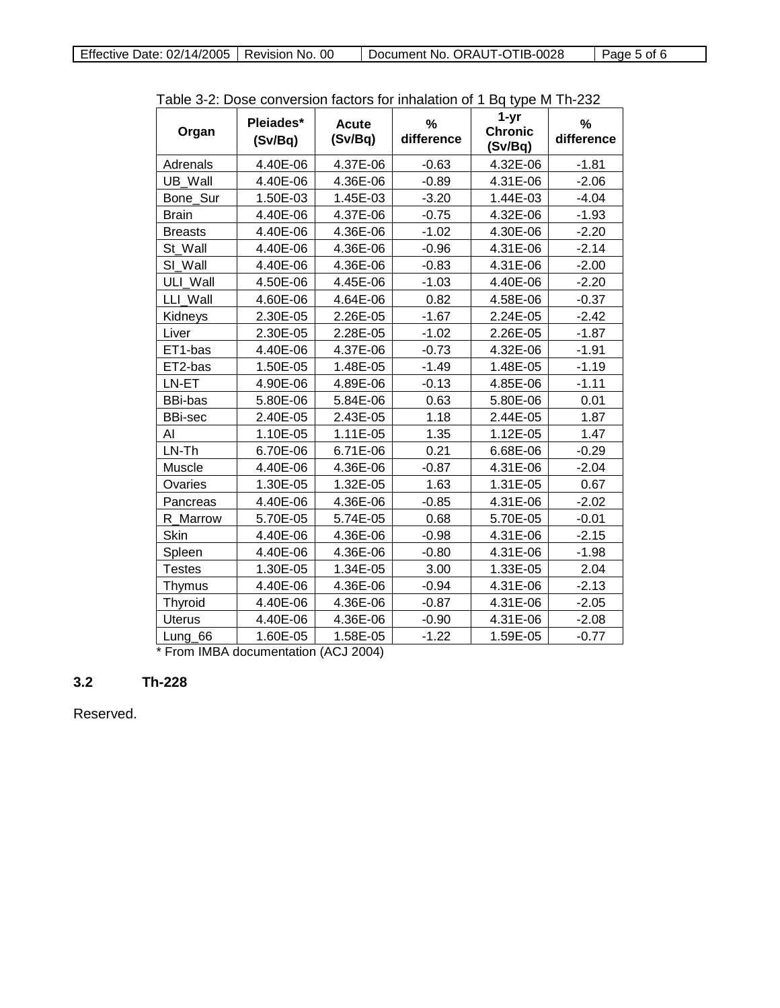| Organ          | Pleiades*<br>(Sv/Bq) | <b>Acute</b><br>(Sv/Bq) | %<br>difference | $1-yr$<br><b>Chronic</b><br>(Sv/Bq) | $\frac{0}{0}$<br>difference |
|----------------|----------------------|-------------------------|-----------------|-------------------------------------|-----------------------------|
| Adrenals       | 4.40E-06             | 4.37E-06                | $-0.63$         | 4.32E-06                            | $-1.81$                     |
| UB Wall        | 4.40E-06             | 4.36E-06                | $-0.89$         | 4.31E-06                            | $-2.06$                     |
| Bone Sur       | 1.50E-03             | 1.45E-03                | $-3.20$         | 1.44E-03                            | $-4.04$                     |
| <b>Brain</b>   | 4.40E-06             | 4.37E-06                | $-0.75$         | 4.32E-06                            | $-1.93$                     |
| <b>Breasts</b> | 4.40E-06             | 4.36E-06                | $-1.02$         | 4.30E-06                            | $-2.20$                     |
| St Wall        | 4.40E-06             | 4.36E-06                | $-0.96$         | 4.31E-06                            | $-2.14$                     |
| SI Wall        | 4.40E-06             | 4.36E-06                | $-0.83$         | 4.31E-06                            | $-2.00$                     |
| ULI Wall       | 4.50E-06             | 4.45E-06                | $-1.03$         | 4.40E-06                            | $-2.20$                     |
| LLI Wall       | 4.60E-06             | 4.64E-06                | 0.82            | 4.58E-06                            | $-0.37$                     |
| Kidneys        | 2.30E-05             | 2.26E-05                | $-1.67$         | 2.24E-05                            | $-2.42$                     |
| Liver          | 2.30E-05             | 2.28E-05                | $-1.02$         | 2.26E-05                            | $-1.87$                     |
| ET1-bas        | 4.40E-06             | 4.37E-06                | $-0.73$         | 4.32E-06                            | $-1.91$                     |
| ET2-bas        | 1.50E-05             | 1.48E-05                | $-1.49$         | 1.48E-05                            | $-1.19$                     |
| LN-ET          | 4.90E-06             | 4.89E-06                | $-0.13$         | 4.85E-06                            | $-1.11$                     |
| <b>BBi-bas</b> | 5.80E-06             | 5.84E-06                | 0.63            | 5.80E-06                            | 0.01                        |
| <b>BBi-sec</b> | 2.40E-05             | 2.43E-05                | 1.18            | 2.44E-05                            | 1.87                        |
| AI             | 1.10E-05             | 1.11E-05                | 1.35            | 1.12E-05                            | 1.47                        |
| LN-Th          | 6.70E-06             | 6.71E-06                | 0.21            | 6.68E-06                            | $-0.29$                     |
| Muscle         | 4.40E-06             | 4.36E-06                | $-0.87$         | 4.31E-06                            | $-2.04$                     |
| Ovaries        | 1.30E-05             | 1.32E-05                | 1.63            | 1.31E-05                            | 0.67                        |
| Pancreas       | 4.40E-06             | 4.36E-06                | $-0.85$         | 4.31E-06                            | $-2.02$                     |
| R Marrow       | 5.70E-05             | 5.74E-05                | 0.68            | 5.70E-05                            | $-0.01$                     |
| Skin           | 4.40E-06             | 4.36E-06                | $-0.98$         | 4.31E-06                            | $-2.15$                     |
| Spleen         | 4.40E-06             | 4.36E-06                | $-0.80$         | 4.31E-06                            | $-1.98$                     |
| <b>Testes</b>  | 1.30E-05             | 1.34E-05                | 3.00            | 1.33E-05                            | 2.04                        |
| Thymus         | 4.40E-06             | 4.36E-06                | $-0.94$         | 4.31E-06                            | $-2.13$                     |
| Thyroid        | 4.40E-06             | 4.36E-06                | $-0.87$         | 4.31E-06                            | $-2.05$                     |
| <b>Uterus</b>  | 4.40E-06             | 4.36E-06                | $-0.90$         | 4.31E-06                            | $-2.08$                     |
| Lung_66        | 1.60E-05             | 1.58E-05                | $-1.22$         | 1.59E-05                            | $-0.77$                     |

Table 3-2: Dose conversion factors for inhalation of 1 Bq type M Th-232

\* From IMBA documentation (ACJ 2004)

## **3.2 Th-228**

Reserved.